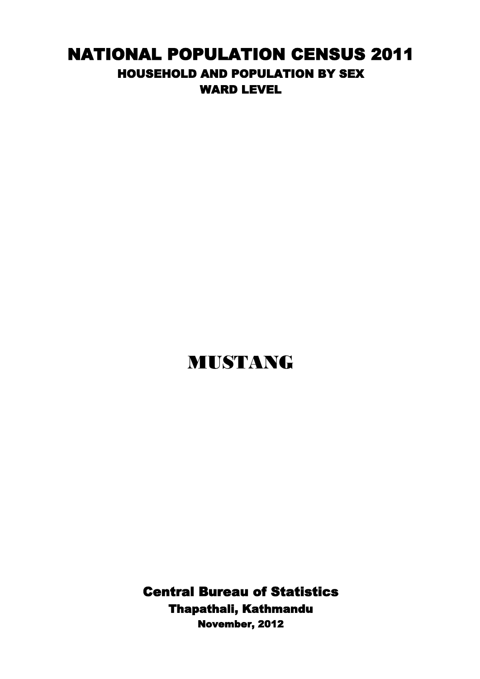## NATIONAL POPULATION CENSUS 2011 HOUSEHOLD AND POPULATION BY SEX WARD LEVEL

## MUSTANG

Thapathali, Kathmandu Central Bureau of Statistics November, 2012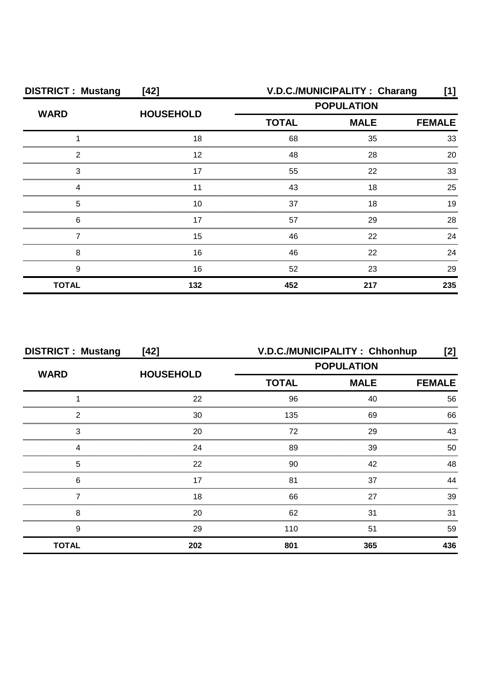| <b>DISTRICT: Mustang</b><br>$[42]$ |                  | V.D.C./MUNICIPALITY: Charang<br>[1]              |     |               |
|------------------------------------|------------------|--------------------------------------------------|-----|---------------|
| <b>WARD</b>                        | <b>HOUSEHOLD</b> | <b>POPULATION</b><br><b>MALE</b><br><b>TOTAL</b> |     |               |
|                                    |                  |                                                  |     | <b>FEMALE</b> |
|                                    | 18               | 68                                               | 35  | 33            |
| ົ                                  | 12               | 48                                               | 28  | 20            |
| 3                                  |                  | 55                                               | 22  | 33            |
|                                    |                  | 43                                               | 18  | 25            |
| 5                                  | 10               | 37                                               | 18  | 19            |
| 6                                  | 17               | 57                                               | 29  | 28            |
|                                    | 15               | 46                                               | 22  | 24            |
| 8                                  | 16               | 46                                               | 22  | 24            |
| 9                                  | 16               | 52                                               | 23  | 29            |
| <b>TOTAL</b>                       | 132              | 452                                              | 217 | 235           |

| <b>DISTRICT: Mustang</b><br>$[42]$ |                  | V.D.C./MUNICIPALITY: Chhonhup<br>[2] |     |               |
|------------------------------------|------------------|--------------------------------------|-----|---------------|
| <b>WARD</b>                        | <b>HOUSEHOLD</b> | <b>POPULATION</b>                    |     |               |
|                                    |                  | <b>TOTAL</b><br><b>MALE</b>          |     | <b>FEMALE</b> |
|                                    | 22               | 96                                   | 40  | 56            |
| າ                                  | 30               | 135                                  | 69  | 66            |
| 3                                  | 20               | 72                                   | 29  | 43            |
|                                    | 24               | 89                                   | 39  | 50            |
| 5                                  | 22               | 90                                   | 42  | 48            |
| 6                                  | 17               | 81                                   | 37  | ΔΔ            |
|                                    | 18               | 66                                   | 27  | 39            |
| 8                                  | 20               | 62                                   | 31  | 31            |
| 9                                  | 29               | 110                                  | 51  | 59            |
| <b>TOTAL</b>                       | 202              | 801                                  | 365 | 436           |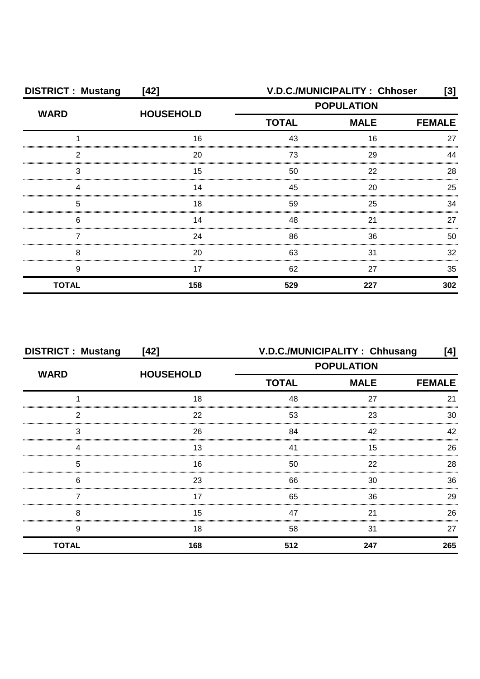| <b>DISTRICT: Mustang</b><br>$[42]$ |                  | V.D.C./MUNICIPALITY: Chhoser<br>[3]              |     |               |
|------------------------------------|------------------|--------------------------------------------------|-----|---------------|
| <b>WARD</b>                        | <b>HOUSEHOLD</b> | <b>POPULATION</b><br><b>TOTAL</b><br><b>MALE</b> |     |               |
|                                    |                  |                                                  |     | <b>FEMALE</b> |
|                                    | 16               | 43                                               | 16  | 27            |
| っ                                  | 20               | 73                                               | 29  |               |
| 3                                  | 15               | 50                                               | 22  | 28            |
|                                    | 14               | 45                                               | 20  | 25            |
| 5                                  | 18               | 59                                               | 25  | ٩Δ            |
| 6                                  | 14               | 48                                               | 21  | 27            |
|                                    | 24               | 86                                               | 36  | 50            |
| 8                                  | 20               | 63                                               | 31  | 32            |
| 9                                  | 17               | 62                                               | 27  | 35            |
| <b>TOTAL</b>                       | 158              | 529                                              | 227 | 302           |

| <b>DISTRICT: Mustang</b><br>$[42]$ |                  | V.D.C./MUNICIPALITY: Chhusang<br>[4] |     |               |
|------------------------------------|------------------|--------------------------------------|-----|---------------|
| <b>WARD</b>                        |                  | <b>POPULATION</b>                    |     |               |
|                                    | <b>HOUSEHOLD</b> | <b>TOTAL</b><br><b>MALE</b>          |     | <b>FEMALE</b> |
|                                    | 18               | 48                                   | 27  | 21            |
| 2                                  | 22               | 53                                   | 23  | 30            |
| 3                                  | 26               | 84                                   | 42  | 42            |
|                                    | 13               | 41                                   | 15  | 26            |
| 5                                  | 16               | 50                                   | 22  | 28            |
| 6                                  | 23               | 66                                   | 30  | 36            |
|                                    | 17               | 65                                   | 36  | 29            |
| 8                                  | 15               | 47                                   | 21  | 26            |
| 9                                  | 18               | 58                                   | 31  | 27            |
| <b>TOTAL</b>                       | 168              | 512                                  | 247 | 265           |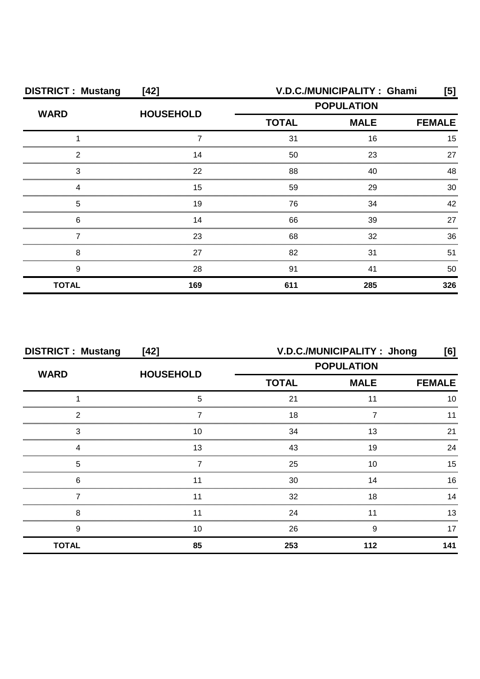| <b>DISTRICT: Mustang</b><br>$[42]$ |                  | V.D.C./MUNICIPALITY: Ghami<br>[5] |                              |     |
|------------------------------------|------------------|-----------------------------------|------------------------------|-----|
| <b>WARD</b>                        | <b>HOUSEHOLD</b> | <b>POPULATION</b>                 |                              |     |
|                                    |                  | <b>TOTAL</b>                      | <b>MALE</b><br><b>FEMALE</b> |     |
|                                    |                  | 31                                | 16                           | 15  |
| 2                                  | 14               | 50                                | 23                           | 27  |
| 3                                  | 22               | 88                                | 40                           | 48  |
|                                    | 15               | 59                                | 29                           | 30  |
| 5                                  | 19               | 76                                | 34                           | 42  |
| 6                                  | 14               | 66                                | 39                           | 27  |
|                                    | 23               | 68                                | 32                           | 36  |
| 8                                  | 27               | 82                                | 31                           | 51  |
| 9                                  | 28               | 91                                | 41                           | 50  |
| <b>TOTAL</b>                       | 169              | 611                               | 285                          | 326 |

| <b>DISTRICT: Mustang</b><br>$[42]$ |                  | V.D.C./MUNICIPALITY: Jhong<br>[6] |             |     |
|------------------------------------|------------------|-----------------------------------|-------------|-----|
|                                    |                  | <b>POPULATION</b>                 |             |     |
| <b>WARD</b>                        | <b>HOUSEHOLD</b> | <b>TOTAL</b>                      | <b>MALE</b> |     |
|                                    |                  | 21                                |             |     |
| າ                                  |                  | 18                                |             |     |
| 3                                  | 10               | 34                                | 13          | っ   |
|                                    | 13               | 43                                | 19          | 24  |
| 5                                  |                  | 25                                | 10          | 15  |
| 6                                  |                  | 30                                | 14          | 16  |
|                                    |                  | 32                                | 18          | 14  |
| 8                                  |                  | 24                                |             | 13  |
| 9                                  | 10               | 26                                | 9           | 17  |
| <b>TOTAL</b>                       | 85               | 253                               | 112         | 141 |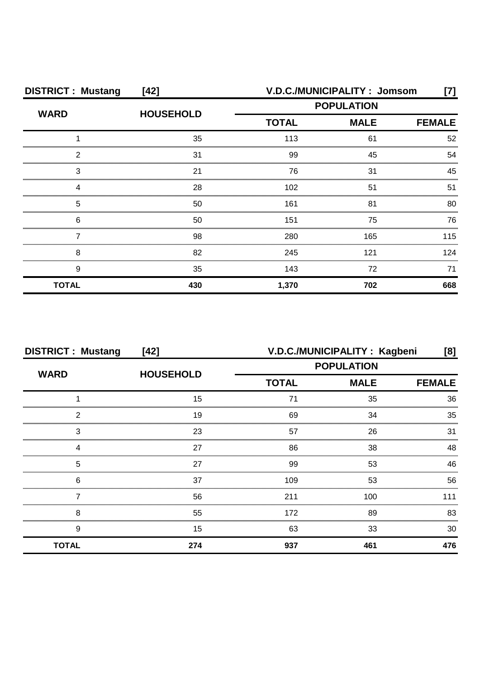| <b>DISTRICT: Mustang</b><br>$[42]$ |                  | V.D.C./MUNICIPALITY: Jomsom<br>[7] |                   |               |
|------------------------------------|------------------|------------------------------------|-------------------|---------------|
| <b>WARD</b>                        | <b>HOUSEHOLD</b> |                                    | <b>POPULATION</b> |               |
|                                    |                  | <b>TOTAL</b>                       | <b>MALE</b>       | <b>FEMALE</b> |
|                                    | 35               | 113                                | 61                | 52            |
| 2                                  | 31               | 99                                 | 45                | 54            |
| 3                                  | 21               | 76                                 | 31                | 45            |
|                                    | 28               | 102                                | 51                | 51            |
| 5                                  | 50               | 161                                | 81                | 80            |
| 6                                  | 50               | 151                                | 75                | 76            |
|                                    | 98               | 280                                | 165               | 115           |
| 8                                  | 82               | 245                                | 121               | 124           |
| 9                                  | 35               | 143                                | 72                | 71            |
| <b>TOTAL</b>                       | 430              | 1,370                              | 702               | 668           |

| <b>DISTRICT: Mustang</b><br>$[42]$ |                  | V.D.C./MUNICIPALITY: Kagbeni<br>[8]              |               |     |
|------------------------------------|------------------|--------------------------------------------------|---------------|-----|
| <b>WARD</b>                        | <b>HOUSEHOLD</b> | <b>POPULATION</b><br><b>TOTAL</b><br><b>MALE</b> |               |     |
|                                    |                  |                                                  | <b>FEMALE</b> |     |
|                                    | 15               | 71                                               | 35            | 36  |
| 2                                  | 19               | 69                                               | 34            | 35  |
| 3                                  | 23               | 57                                               | 26            | 31  |
|                                    | 27               | 86                                               | 38            | 48  |
| 5                                  | 27               | 99                                               | 53            | 46  |
| 6                                  | 37               | 109                                              | 53            | 56  |
|                                    | 56               | 211                                              | 100           | 111 |
| 8                                  | 55               | 172                                              | 89            | 83  |
| 9                                  | 15               | 63                                               | 33            | 30  |
| <b>TOTAL</b>                       | 274              | 937                                              | 461           | 476 |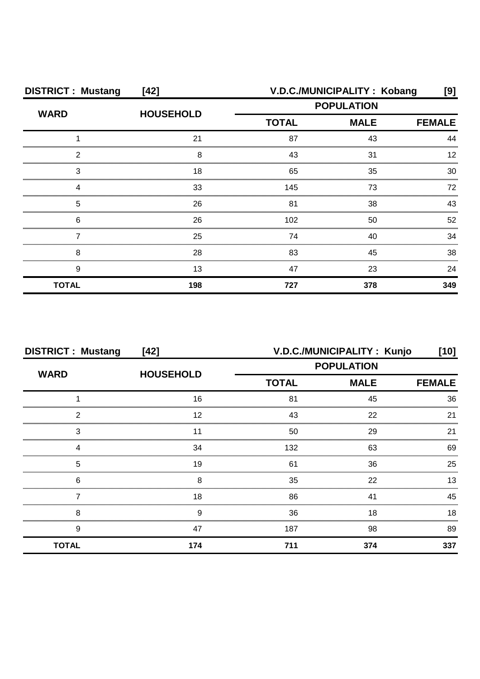| <b>DISTRICT: Mustang</b><br>$[42]$ |                  | V.D.C./MUNICIPALITY: Kobang<br>[9] |                                                                   |     |
|------------------------------------|------------------|------------------------------------|-------------------------------------------------------------------|-----|
| <b>WARD</b>                        | <b>HOUSEHOLD</b> |                                    | <b>POPULATION</b><br><b>MALE</b><br><b>TOTAL</b><br><b>FEMALE</b> |     |
|                                    |                  |                                    |                                                                   |     |
|                                    | 21               | 87                                 | 43                                                                | ΔΔ  |
| ⌒                                  | 8                | 43                                 | 31                                                                |     |
| 3                                  | 18               | 65                                 | 35                                                                | 30  |
|                                    | 33               | 145                                | 73                                                                | 72  |
| 5                                  | 26               | 81                                 | 38                                                                | 43  |
| 6                                  | 26               | 102                                | 50                                                                | 52  |
|                                    | 25               | 74                                 | 40                                                                | 34  |
| 8                                  | 28               | 83                                 | 45                                                                | 38  |
| 9                                  | 13               | 47                                 | 23                                                                | 24  |
| <b>TOTAL</b>                       | 198              | 727                                | 378                                                               | 349 |

| <b>DISTRICT: Mustang</b><br>$[42]$ |                  |                                                  | V.D.C./MUNICIPALITY: Kunjo | $[10]$        |
|------------------------------------|------------------|--------------------------------------------------|----------------------------|---------------|
| <b>WARD</b>                        | <b>HOUSEHOLD</b> | <b>POPULATION</b><br><b>TOTAL</b><br><b>MALE</b> |                            |               |
|                                    |                  |                                                  |                            | <b>FEMALE</b> |
|                                    | 16               | 81                                               | 45                         | 36            |
| っ                                  | 12               | 43                                               | 22                         | 21            |
| 3                                  |                  | 50                                               | 29                         | 21            |
|                                    | 34               | 132                                              | 63                         | 69            |
| 5                                  | 19               | 61                                               | 36                         | 25            |
| 6                                  | 8                | 35                                               | 22                         | 13            |
|                                    | 18               | 86                                               | 41                         | 45            |
| 8                                  | 9                | 36                                               | 18                         | 18            |
| 9                                  | 47               | 187                                              | 98                         | 89            |
| <b>TOTAL</b>                       | 174              | 711                                              | 374                        | 337           |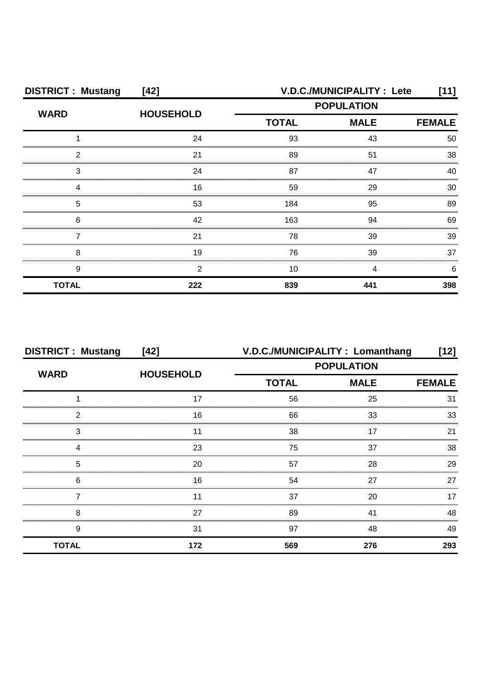| <b>DISTRICT: Mustang</b><br>$[42]$ |                  | <b>V.D.C./MUNICIPALITY : Lete</b><br>[11] |                   |               |
|------------------------------------|------------------|-------------------------------------------|-------------------|---------------|
| <b>WARD</b>                        | <b>HOUSEHOLD</b> |                                           | <b>POPULATION</b> |               |
|                                    |                  | <b>TOTAL</b>                              | <b>MALE</b>       | <b>FEMALE</b> |
|                                    | 24               | 93                                        | 43                | 50            |
| 2                                  | 21               | 89                                        | 51                | 38            |
| 3                                  | 24               | 87                                        | 47                | ⊿∩            |
|                                    | 16               | 59                                        | 29                | 30            |
| 5                                  | 53               | 184                                       | 95                | 89            |
| 6                                  | 42               | 163                                       | 94                | 69            |
|                                    | 21               | 78                                        | 39                | 39            |
| 8                                  | 19               | 76                                        | 39                | 37            |
| 9                                  | 2                | 10                                        |                   | h             |
| <b>TOTAL</b>                       | 222              | 839                                       | 441               | 398           |

| <b>DISTRICT: Mustang</b> | $[42]$           | V.D.C./MUNICIPALITY: Lomanthang |                   | [12]          |
|--------------------------|------------------|---------------------------------|-------------------|---------------|
| <b>WARD</b>              |                  |                                 | <b>POPULATION</b> |               |
|                          | <b>HOUSEHOLD</b> | <b>TOTAL</b>                    | <b>MALE</b>       | <b>FEMALE</b> |
|                          | 17               | 56                              | 25                | 31            |
| っ                        | 16               | 66                              | 33                | 33            |
| 3                        |                  | 38                              | 17                | 21            |
|                          | 23               | 75                              | 37                | 38            |
| 5                        | 20               | 57                              | 28                | 29            |
| 6                        | 16               | 54                              | 27                | 27            |
|                          |                  | 37                              | 20                | 17            |
| 8                        | 27               | 89                              | 41                | 48            |
| 9                        | 31               | 97                              | 48                | 49            |
| <b>TOTAL</b>             | 172              | 569                             | 276               | 293           |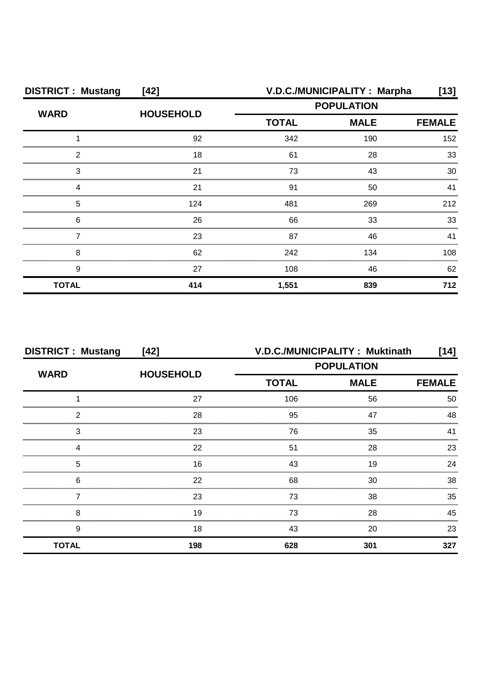| <b>DISTRICT: Mustang</b><br>$[42]$ |                  | V.D.C./MUNICIPALITY: Marpha<br>[13] |             |               |
|------------------------------------|------------------|-------------------------------------|-------------|---------------|
|                                    | <b>HOUSEHOLD</b> | <b>POPULATION</b>                   |             |               |
| <b>WARD</b>                        |                  | <b>TOTAL</b>                        | <b>MALE</b> | <b>FEMALE</b> |
|                                    | 92               | 342                                 | 190         | 152           |
| 2                                  | 18               | 61                                  | 28          | 33            |
| 3                                  | 21               | 73                                  | 43          | 30            |
|                                    | 21               | 91                                  | 50          | 41            |
| 5                                  | 124              | 481                                 | 269         | 212           |
| 6                                  | 26               | 66                                  | 33          | 33            |
|                                    | 23               | 87                                  | 46          | 41            |
| 8                                  | 62               | 242                                 | 134         | 108           |
| 9                                  | 27               | 108                                 | 46          | 62            |
| <b>TOTAL</b>                       | 414              | 1,551                               | 839         | 712           |

| <b>DISTRICT: Mustang</b><br>$[42]$ |                  | V.D.C./MUNICIPALITY: Muktinath<br>[14] |             |               |
|------------------------------------|------------------|----------------------------------------|-------------|---------------|
| <b>WARD</b>                        | <b>HOUSEHOLD</b> | <b>POPULATION</b>                      |             |               |
|                                    |                  | <b>TOTAL</b>                           | <b>MALE</b> | <b>FEMALE</b> |
|                                    | 27               | 106                                    | 56          | 50            |
| າ                                  | 28               | 95                                     | 47          | 48            |
| 3                                  | 23               | 76                                     | 35          |               |
|                                    | 22               | 51                                     | 28          | 23            |
| 5                                  | 16               | 43                                     | 19          | 24            |
| 6                                  | 22               | 68                                     | 30          | 38            |
|                                    | 23               | 73                                     | 38          | 35            |
| 8                                  | 19               | 73                                     | 28          | 45            |
| 9                                  | 18               | 43                                     | 20          | 23            |
| <b>TOTAL</b>                       | 198              | 628                                    | 301         | 327           |